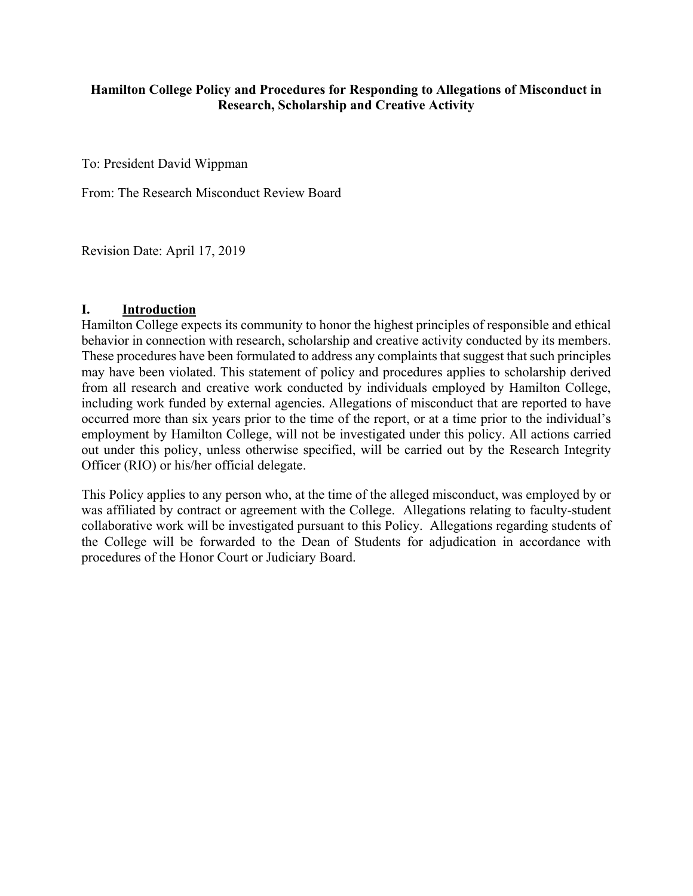### **Hamilton College Policy and Procedures for Responding to Allegations of Misconduct in Research, Scholarship and Creative Activity**

To: President David Wippman

From: The Research Misconduct Review Board

Revision Date: April 17, 2019

### **I. Introduction**

Hamilton College expects its community to honor the highest principles of responsible and ethical behavior in connection with research, scholarship and creative activity conducted by its members. These procedures have been formulated to address any complaints that suggest that such principles may have been violated. This statement of policy and procedures applies to scholarship derived from all research and creative work conducted by individuals employed by Hamilton College, including work funded by external agencies. Allegations of misconduct that are reported to have occurred more than six years prior to the time of the report, or at a time prior to the individual's employment by Hamilton College, will not be investigated under this policy. All actions carried out under this policy, unless otherwise specified, will be carried out by the Research Integrity Officer (RIO) or his/her official delegate.

This Policy applies to any person who, at the time of the alleged misconduct, was employed by or was affiliated by contract or agreement with the College. Allegations relating to faculty-student collaborative work will be investigated pursuant to this Policy. Allegations regarding students of the College will be forwarded to the Dean of Students for adjudication in accordance with procedures of the Honor Court or Judiciary Board.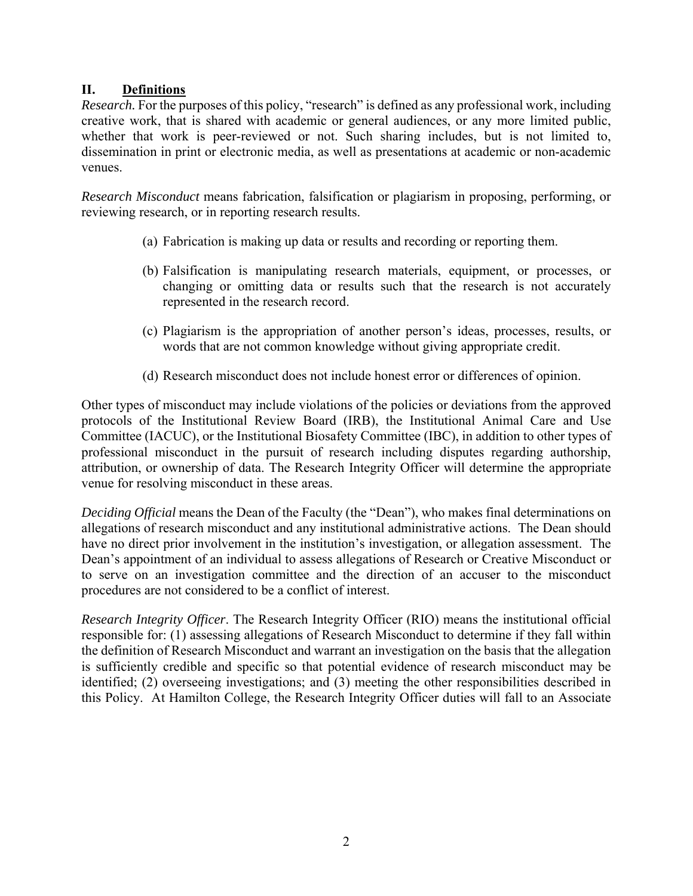# **II. Definitions**

*Research.* For the purposes of this policy, "research" is defined as any professional work, including creative work, that is shared with academic or general audiences, or any more limited public, whether that work is peer-reviewed or not. Such sharing includes, but is not limited to, dissemination in print or electronic media, as well as presentations at academic or non-academic venues.

*Research Misconduct* means fabrication, falsification or plagiarism in proposing, performing, or reviewing research, or in reporting research results.

- (a) Fabrication is making up data or results and recording or reporting them.
- (b) Falsification is manipulating research materials, equipment, or processes, or changing or omitting data or results such that the research is not accurately represented in the research record.
- (c) Plagiarism is the appropriation of another person's ideas, processes, results, or words that are not common knowledge without giving appropriate credit.
- (d) Research misconduct does not include honest error or differences of opinion.

 attribution, or ownership of data. The Research Integrity Officer will determine the appropriate Other types of misconduct may include violations of the policies or deviations from the approved protocols of the Institutional Review Board (IRB), the Institutional Animal Care and Use Committee (IACUC), or the Institutional Biosafety Committee (IBC), in addition to other types of professional misconduct in the pursuit of research including disputes regarding authorship, venue for resolving misconduct in these areas.

*Deciding Official* means the Dean of the Faculty (the "Dean"), who makes final determinations on allegations of research misconduct and any institutional administrative actions. The Dean should have no direct prior involvement in the institution's investigation, or allegation assessment. The Dean's appointment of an individual to assess allegations of Research or Creative Misconduct or to serve on an investigation committee and the direction of an accuser to the misconduct procedures are not considered to be a conflict of interest.

*Research Integrity Officer*. The Research Integrity Officer (RIO) means the institutional official responsible for: (1) assessing allegations of Research Misconduct to determine if they fall within the definition of Research Misconduct and warrant an investigation on the basis that the allegation is sufficiently credible and specific so that potential evidence of research misconduct may be identified; (2) overseeing investigations; and (3) meeting the other responsibilities described in this Policy. At Hamilton College, the Research Integrity Officer duties will fall to an Associate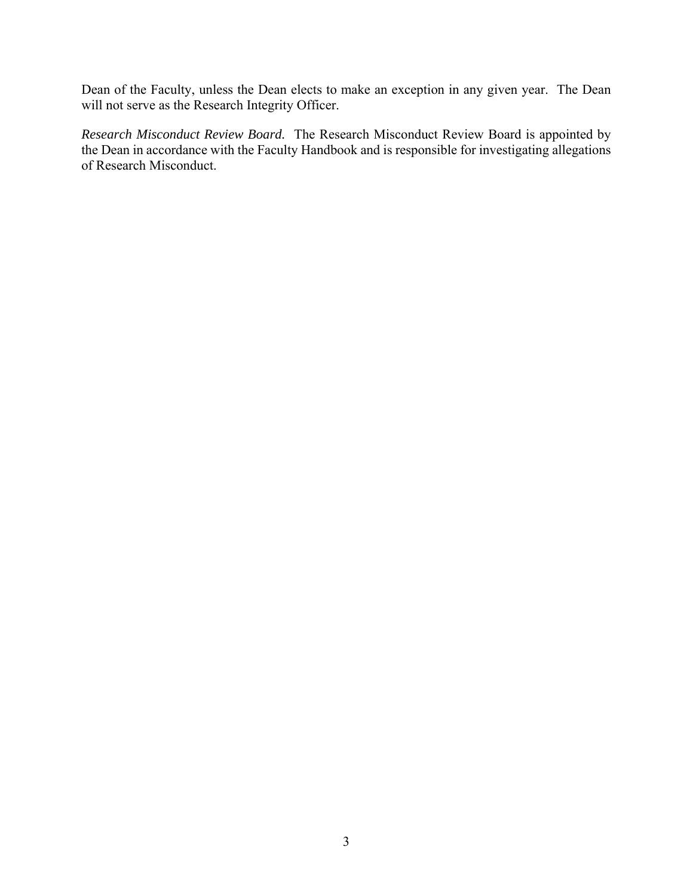Dean of the Faculty, unless the Dean elects to make an exception in any given year. The Dean will not serve as the Research Integrity Officer.

 *Research Misconduct Review Board.* The Research Misconduct Review Board is appointed by the Dean in accordance with the Faculty Handbook and is responsible for investigating allegations of Research Misconduct.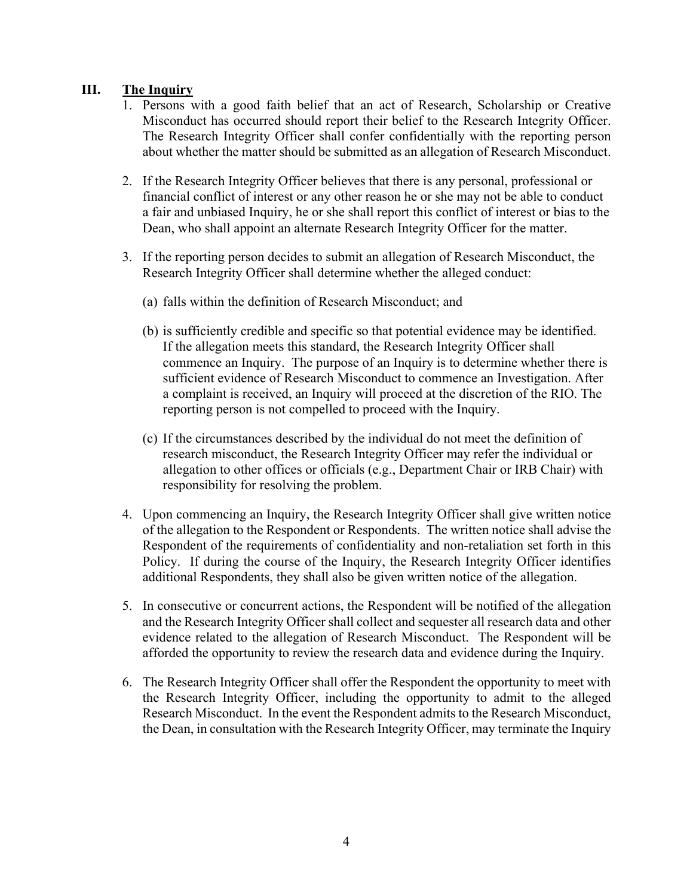# **III. The Inquiry**

- 1. Persons with a good faith belief that an act of Research, Scholarship or Creative Misconduct has occurred should report their belief to the Research Integrity Officer. The Research Integrity Officer shall confer confidentially with the reporting person about whether the matter should be submitted as an allegation of Research Misconduct.
- 2. If the Research Integrity Officer believes that there is any personal, professional or financial conflict of interest or any other reason he or she may not be able to conduct a fair and unbiased Inquiry, he or she shall report this conflict of interest or bias to the Dean, who shall appoint an alternate Research Integrity Officer for the matter.
- 3. If the reporting person decides to submit an allegation of Research Misconduct, the Research Integrity Officer shall determine whether the alleged conduct:
	- (a) falls within the definition of Research Misconduct; and
	- (b) is sufficiently credible and specific so that potential evidence may be identified. If the allegation meets this standard, the Research Integrity Officer shall commence an Inquiry. The purpose of an Inquiry is to determine whether there is sufficient evidence of Research Misconduct to commence an Investigation. After a complaint is received, an Inquiry will proceed at the discretion of the RIO. The reporting person is not compelled to proceed with the Inquiry.
	- (c) If the circumstances described by the individual do not meet the definition of research misconduct, the Research Integrity Officer may refer the individual or allegation to other offices or officials (e.g., Department Chair or IRB Chair) with responsibility for resolving the problem.
- 4. Upon commencing an Inquiry, the Research Integrity Officer shall give written notice of the allegation to the Respondent or Respondents. The written notice shall advise the Respondent of the requirements of confidentiality and non-retaliation set forth in this Policy. If during the course of the Inquiry, the Research Integrity Officer identifies additional Respondents, they shall also be given written notice of the allegation.
- 5. In consecutive or concurrent actions, the Respondent will be notified of the allegation and the Research Integrity Officer shall collect and sequester all research data and other evidence related to the allegation of Research Misconduct. The Respondent will be afforded the opportunity to review the research data and evidence during the Inquiry.
- 6. The Research Integrity Officer shall offer the Respondent the opportunity to meet with the Research Integrity Officer, including the opportunity to admit to the alleged Research Misconduct. In the event the Respondent admits to the Research Misconduct, the Dean, in consultation with the Research Integrity Officer, may terminate the Inquiry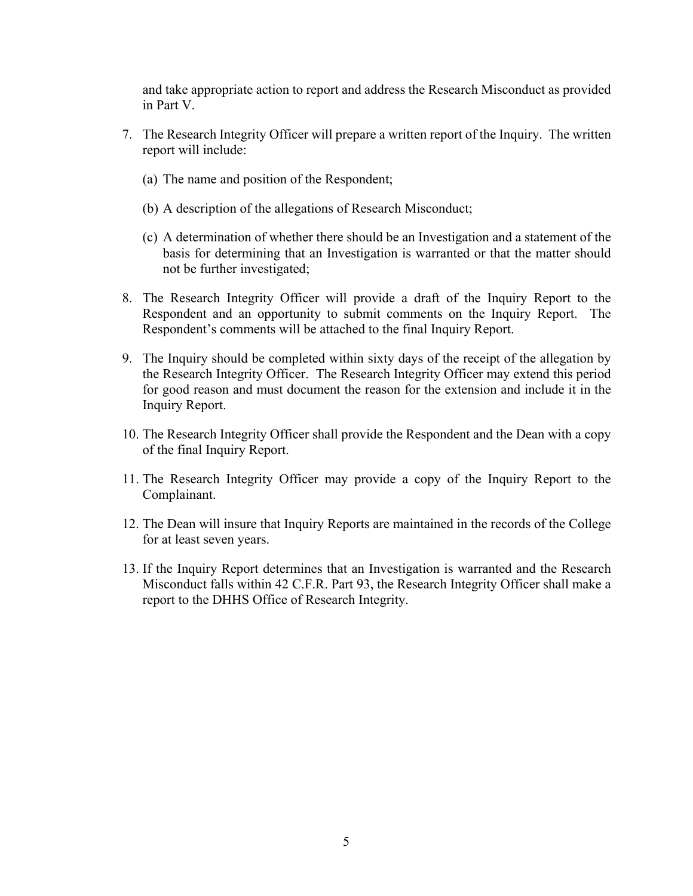and take appropriate action to report and address the Research Misconduct as provided in Part V.

- 7. The Research Integrity Officer will prepare a written report of the Inquiry. The written report will include:
	- (a) The name and position of the Respondent;
	- (b) A description of the allegations of Research Misconduct;
	- (c) A determination of whether there should be an Investigation and a statement of the basis for determining that an Investigation is warranted or that the matter should not be further investigated;
- 8. The Research Integrity Officer will provide a draft of the Inquiry Report to the Respondent and an opportunity to submit comments on the Inquiry Report. The Respondent's comments will be attached to the final Inquiry Report.
- the Research Integrity Officer. The Research Integrity Officer may extend this period for good reason and must document the reason for the extension and include it in the 9. The Inquiry should be completed within sixty days of the receipt of the allegation by Inquiry Report.
- 10. The Research Integrity Officer shall provide the Respondent and the Dean with a copy of the final Inquiry Report.
- 11. The Research Integrity Officer may provide a copy of the Inquiry Report to the Complainant.
- 12. The Dean will insure that Inquiry Reports are maintained in the records of the College for at least seven years.
- 13. If the Inquiry Report determines that an Investigation is warranted and the Research Misconduct falls within 42 C.F.R. Part 93, the Research Integrity Officer shall make a report to the DHHS Office of Research Integrity.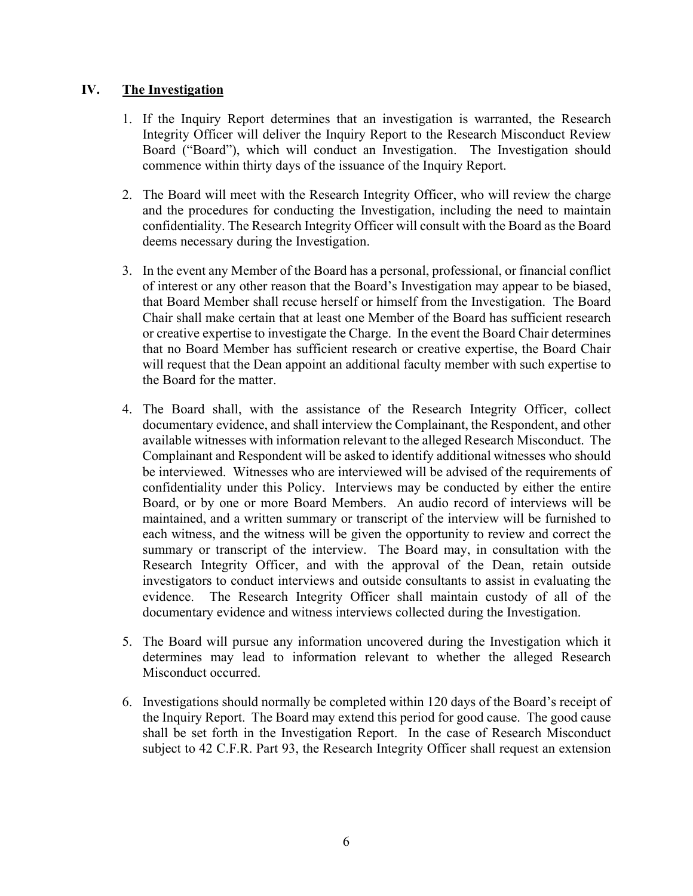## **IV. The Investigation**

- Integrity Officer will deliver the Inquiry Report to the Research Misconduct Review 1. If the Inquiry Report determines that an investigation is warranted, the Research Board ("Board"), which will conduct an Investigation. The Investigation should commence within thirty days of the issuance of the Inquiry Report.
- confidentiality. The Research Integrity Officer will consult with the Board as the Board 2. The Board will meet with the Research Integrity Officer, who will review the charge and the procedures for conducting the Investigation, including the need to maintain deems necessary during the Investigation.
- of interest or any other reason that the Board's Investigation may appear to be biased, or creative expertise to investigate the Charge. In the event the Board Chair determines 3. In the event any Member of the Board has a personal, professional, or financial conflict that Board Member shall recuse herself or himself from the Investigation. The Board Chair shall make certain that at least one Member of the Board has sufficient research that no Board Member has sufficient research or creative expertise, the Board Chair will request that the Dean appoint an additional faculty member with such expertise to the Board for the matter.
- Complainant and Respondent will be asked to identify additional witnesses who should summary or transcript of the interview. The Board may, in consultation with the evidence. 4. The Board shall, with the assistance of the Research Integrity Officer, collect documentary evidence, and shall interview the Complainant, the Respondent, and other available witnesses with information relevant to the alleged Research Misconduct. The be interviewed. Witnesses who are interviewed will be advised of the requirements of confidentiality under this Policy. Interviews may be conducted by either the entire Board, or by one or more Board Members. An audio record of interviews will be maintained, and a written summary or transcript of the interview will be furnished to each witness, and the witness will be given the opportunity to review and correct the Research Integrity Officer, and with the approval of the Dean, retain outside investigators to conduct interviews and outside consultants to assist in evaluating the The Research Integrity Officer shall maintain custody of all of the documentary evidence and witness interviews collected during the Investigation.
- 5. The Board will pursue any information uncovered during the Investigation which it determines may lead to information relevant to whether the alleged Research Misconduct occurred.
- 6. Investigations should normally be completed within 120 days of the Board's receipt of the Inquiry Report. The Board may extend this period for good cause. The good cause shall be set forth in the Investigation Report. In the case of Research Misconduct subject to 42 C.F.R. Part 93, the Research Integrity Officer shall request an extension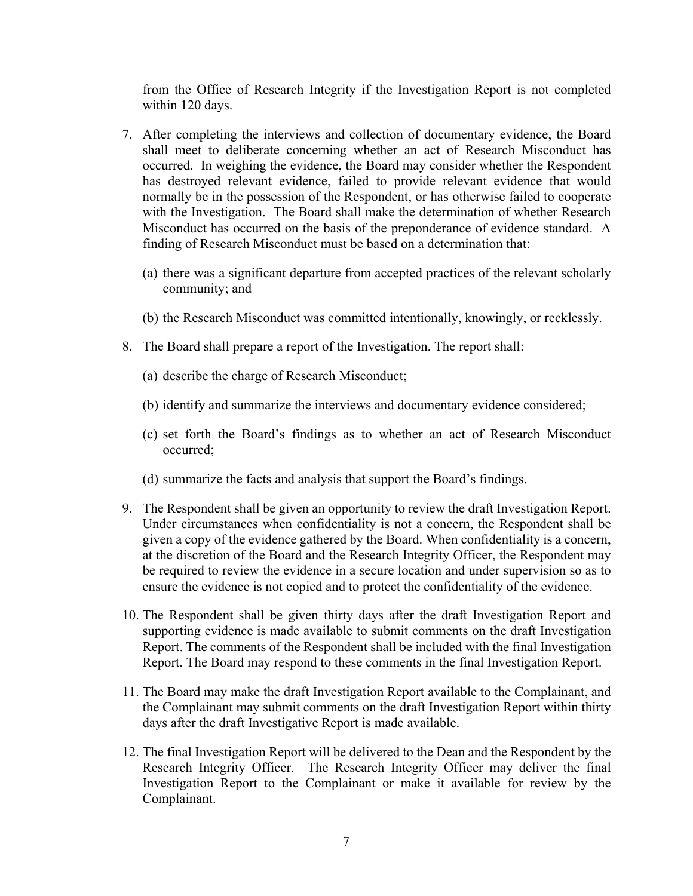from the Office of Research Integrity if the Investigation Report is not completed within 120 days.

- Misconduct has occurred on the basis of the preponderance of evidence standard. A 7. After completing the interviews and collection of documentary evidence, the Board shall meet to deliberate concerning whether an act of Research Misconduct has occurred. In weighing the evidence, the Board may consider whether the Respondent has destroyed relevant evidence, failed to provide relevant evidence that would normally be in the possession of the Respondent, or has otherwise failed to cooperate with the Investigation. The Board shall make the determination of whether Research finding of Research Misconduct must be based on a determination that:
	- (a) there was a significant departure from accepted practices of the relevant scholarly community; and
	- (b) the Research Misconduct was committed intentionally, knowingly, or recklessly.
- 8. The Board shall prepare a report of the Investigation. The report shall:
	- (a) describe the charge of Research Misconduct;
	- (b) identify and summarize the interviews and documentary evidence considered;
	- (c) set forth the Board's findings as to whether an act of Research Misconduct occurred;
	- (d) summarize the facts and analysis that support the Board's findings.
- Under circumstances when confidentiality is not a concern, the Respondent shall be 9. The Respondent shall be given an opportunity to review the draft Investigation Report. given a copy of the evidence gathered by the Board. When confidentiality is a concern, at the discretion of the Board and the Research Integrity Officer, the Respondent may be required to review the evidence in a secure location and under supervision so as to ensure the evidence is not copied and to protect the confidentiality of the evidence.
- supporting evidence is made available to submit comments on the draft Investigation 10. The Respondent shall be given thirty days after the draft Investigation Report and Report. The comments of the Respondent shall be included with the final Investigation Report. The Board may respond to these comments in the final Investigation Report.
- 11. The Board may make the draft Investigation Report available to the Complainant, and the Complainant may submit comments on the draft Investigation Report within thirty days after the draft Investigative Report is made available.
- Research Integrity Officer. The Research Integrity Officer may deliver the final 12. The final Investigation Report will be delivered to the Dean and the Respondent by the Investigation Report to the Complainant or make it available for review by the Complainant.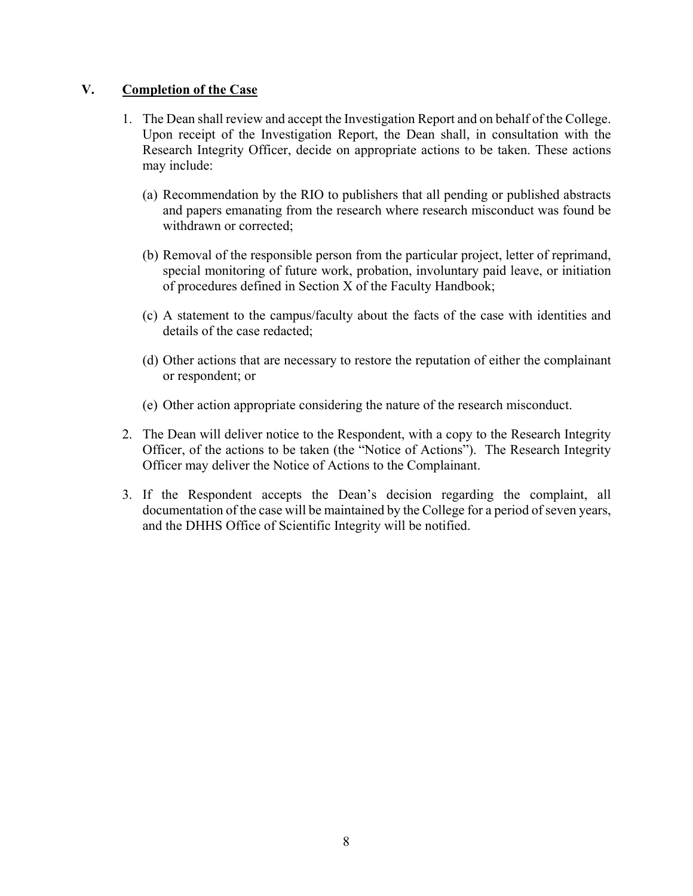#### **V. Completion of the Case**

- 1. The Dean shall review and accept the Investigation Report and on behalf of the College. Upon receipt of the Investigation Report, the Dean shall, in consultation with the Research Integrity Officer, decide on appropriate actions to be taken. These actions may include:
	- (a) Recommendation by the RIO to publishers that all pending or published abstracts and papers emanating from the research where research misconduct was found be withdrawn or corrected;
	- (b) Removal of the responsible person from the particular project, letter of reprimand, special monitoring of future work, probation, involuntary paid leave, or initiation of procedures defined in Section X of the Faculty Handbook;
	- (c) A statement to the campus/faculty about the facts of the case with identities and details of the case redacted;
	- (d) Other actions that are necessary to restore the reputation of either the complainant or respondent; or
	- (e) Other action appropriate considering the nature of the research misconduct.
- 2. The Dean will deliver notice to the Respondent, with a copy to the Research Integrity Officer, of the actions to be taken (the "Notice of Actions"). The Research Integrity Officer may deliver the Notice of Actions to the Complainant.
- 3. If the Respondent accepts the Dean's decision regarding the complaint, all documentation of the case will be maintained by the College for a period of seven years, and the DHHS Office of Scientific Integrity will be notified.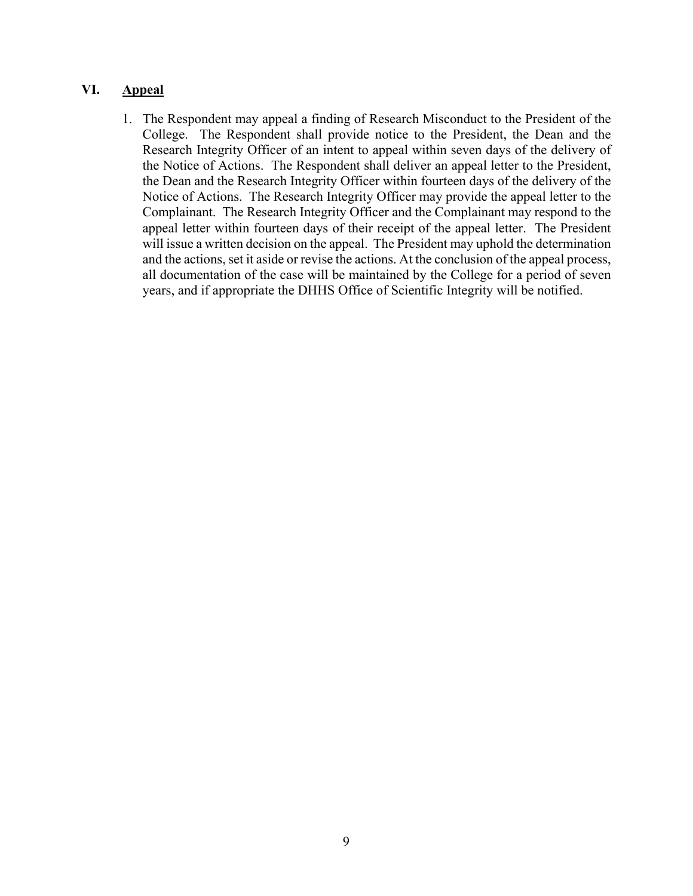## **VI. Appeal**

 the Dean and the Research Integrity Officer within fourteen days of the delivery of the Notice of Actions. The Research Integrity Officer may provide the appeal letter to the all documentation of the case will be maintained by the College for a period of seven 1. The Respondent may appeal a finding of Research Misconduct to the President of the College. The Respondent shall provide notice to the President, the Dean and the Research Integrity Officer of an intent to appeal within seven days of the delivery of the Notice of Actions. The Respondent shall deliver an appeal letter to the President, Complainant. The Research Integrity Officer and the Complainant may respond to the appeal letter within fourteen days of their receipt of the appeal letter. The President will issue a written decision on the appeal. The President may uphold the determination and the actions, set it aside or revise the actions. At the conclusion of the appeal process, years, and if appropriate the DHHS Office of Scientific Integrity will be notified.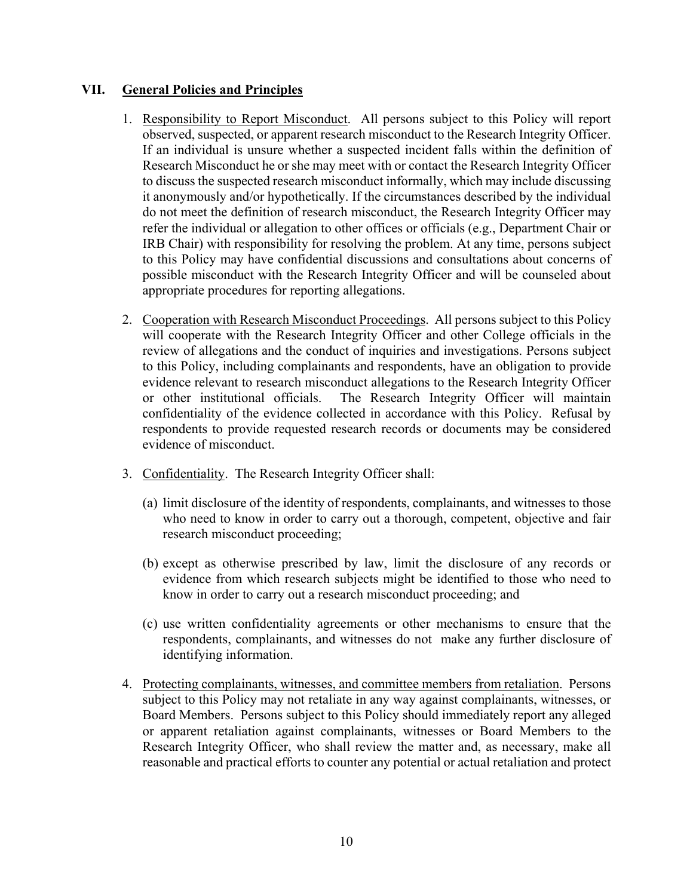### **VII. General Policies and Principles**

- refer the individual or allegation to other offices or officials (e.g., Department Chair or 1. Responsibility to Report Misconduct. All persons subject to this Policy will report observed, suspected, or apparent research misconduct to the Research Integrity Officer. If an individual is unsure whether a suspected incident falls within the definition of Research Misconduct he or she may meet with or contact the Research Integrity Officer to discuss the suspected research misconduct informally, which may include discussing it anonymously and/or hypothetically. If the circumstances described by the individual do not meet the definition of research misconduct, the Research Integrity Officer may IRB Chair) with responsibility for resolving the problem. At any time, persons subject to this Policy may have confidential discussions and consultations about concerns of possible misconduct with the Research Integrity Officer and will be counseled about appropriate procedures for reporting allegations.
- will cooperate with the Research Integrity Officer and other College officials in the 2. Cooperation with Research Misconduct Proceedings. All persons subject to this Policy review of allegations and the conduct of inquiries and investigations. Persons subject to this Policy, including complainants and respondents, have an obligation to provide evidence relevant to research misconduct allegations to the Research Integrity Officer or other institutional officials. The Research Integrity Officer will maintain confidentiality of the evidence collected in accordance with this Policy. Refusal by respondents to provide requested research records or documents may be considered evidence of misconduct.
- 3. Confidentiality. The Research Integrity Officer shall:
	- research misconduct proceeding; (a) limit disclosure of the identity of respondents, complainants, and witnesses to those who need to know in order to carry out a thorough, competent, objective and fair
	- (b) except as otherwise prescribed by law, limit the disclosure of any records or evidence from which research subjects might be identified to those who need to know in order to carry out a research misconduct proceeding; and
	- (c) use written confidentiality agreements or other mechanisms to ensure that the respondents, complainants, and witnesses do not make any further disclosure of identifying information.
- 4. Protecting complainants, witnesses, and committee members from retaliation. Persons subject to this Policy may not retaliate in any way against complainants, witnesses, or Board Members. Persons subject to this Policy should immediately report any alleged or apparent retaliation against complainants, witnesses or Board Members to the Research Integrity Officer, who shall review the matter and, as necessary, make all reasonable and practical efforts to counter any potential or actual retaliation and protect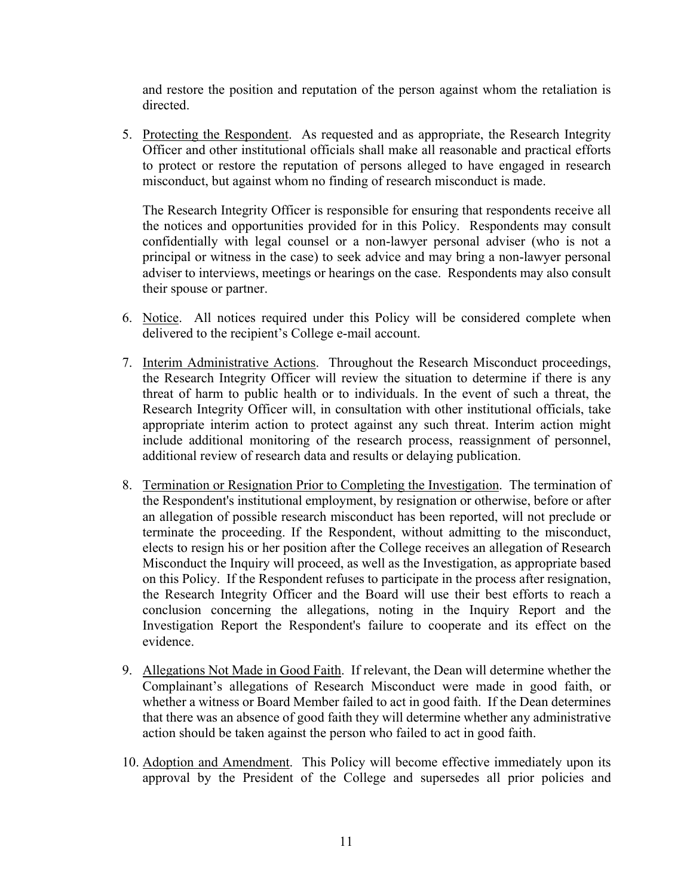and restore the position and reputation of the person against whom the retaliation is directed.

5. Protecting the Respondent. As requested and as appropriate, the Research Integrity Officer and other institutional officials shall make all reasonable and practical efforts to protect or restore the reputation of persons alleged to have engaged in research misconduct, but against whom no finding of research misconduct is made.

The Research Integrity Officer is responsible for ensuring that respondents receive all the notices and opportunities provided for in this Policy. Respondents may consult confidentially with legal counsel or a non-lawyer personal adviser (who is not a principal or witness in the case) to seek advice and may bring a non-lawyer personal adviser to interviews, meetings or hearings on the case. Respondents may also consult their spouse or partner.

- 6. Notice. All notices required under this Policy will be considered complete when delivered to the recipient's College e-mail account.
- the Research Integrity Officer will review the situation to determine if there is any threat of harm to public health or to individuals. In the event of such a threat, the Research Integrity Officer will, in consultation with other institutional officials, take include additional monitoring of the research process, reassignment of personnel, 7. Interim Administrative Actions. Throughout the Research Misconduct proceedings, appropriate interim action to protect against any such threat. Interim action might additional review of research data and results or delaying publication.
- the Research Integrity Officer and the Board will use their best efforts to reach a 8. Termination or Resignation Prior to Completing the Investigation. The termination of the Respondent's institutional employment, by resignation or otherwise, before or after an allegation of possible research misconduct has been reported, will not preclude or terminate the proceeding. If the Respondent, without admitting to the misconduct, elects to resign his or her position after the College receives an allegation of Research Misconduct the Inquiry will proceed, as well as the Investigation, as appropriate based on this Policy. If the Respondent refuses to participate in the process after resignation, conclusion concerning the allegations, noting in the Inquiry Report and the Investigation Report the Respondent's failure to cooperate and its effect on the evidence.
- 9. Allegations Not Made in Good Faith. If relevant, the Dean will determine whether the Complainant's allegations of Research Misconduct were made in good faith, or whether a witness or Board Member failed to act in good faith. If the Dean determines that there was an absence of good faith they will determine whether any administrative action should be taken against the person who failed to act in good faith.
- 10. Adoption and Amendment. This Policy will become effective immediately upon its approval by the President of the College and supersedes all prior policies and